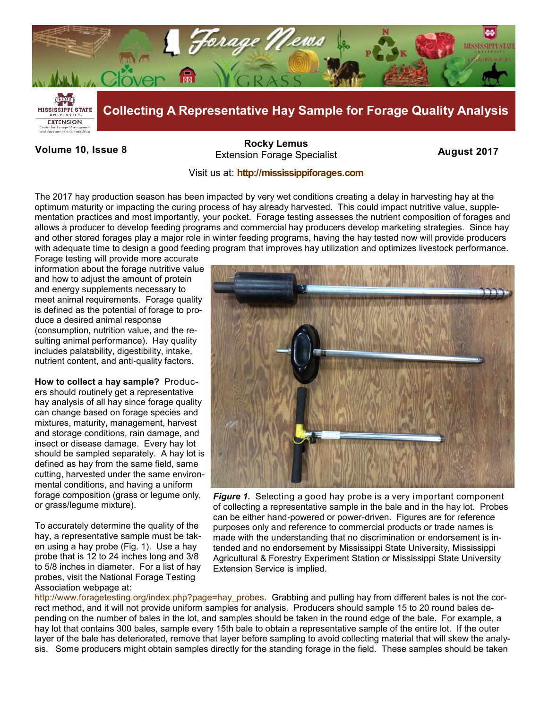

**Volume 10, Issue 8 August 2017 August 2017**<br>Extension Forage Specialist **August 2017 [Rocky Lemus](mailto:RLemus@ext.msstate.edu?subject=Forage%20News:%20Janaury%202011)**

## Visit us at: **<http://mississippiforages.com>**

The 2017 hay production season has been impacted by very wet conditions creating a delay in harvesting hay at the optimum maturity or impacting the curing process of hay already harvested. This could impact nutritive value, supplementation practices and most importantly, your pocket. Forage testing assesses the nutrient composition of forages and allows a producer to develop feeding programs and commercial hay producers develop marketing strategies. Since hay and other stored forages play a major role in winter feeding programs, having the hay tested now will provide producers with adequate time to design a good feeding program that improves hay utilization and optimizes livestock performance.

Forage testing will provide more accurate information about the forage nutritive value and how to adjust the amount of protein and energy supplements necessary to meet animal requirements. Forage quality is defined as the potential of forage to produce a desired animal response (consumption, nutrition value, and the resulting animal performance). Hay quality includes palatability, digestibility, intake, nutrient content, and anti-quality factors.

**How to collect a hay sample?** Producers should routinely get a representative hay analysis of all hay since forage quality can change based on forage species and mixtures, maturity, management, harvest and storage conditions, rain damage, and insect or disease damage. Every hay lot should be sampled separately. A hay lot is defined as hay from the same field, same cutting, harvested under the same environmental conditions, and having a uniform forage composition (grass or legume only, or grass/legume mixture).

To accurately determine the quality of the hay, a representative sample must be taken using a hay probe (Fig. 1). Use a hay probe that is 12 to 24 inches long and 3/8 to 5/8 inches in diameter. For a list of hay probes, visit the National Forage Testing Association webpage at:



*Figure 1.* Selecting a good hay probe is a very important component of collecting a representative sample in the bale and in the hay lot. Probes can be either hand-powered or power-driven. Figures are for reference purposes only and reference to commercial products or trade names is made with the understanding that no discrimination or endorsement is intended and no endorsement by Mississippi State University, Mississippi Agricultural & Forestry Experiment Station or Mississippi State University Extension Service is implied.

[http://www.foragetesting.org/index.php?page=hay\\_probes.](http://www.foragetesting.org/index.php?page=hay_probes) Grabbing and pulling hay from different bales is not the correct method, and it will not provide uniform samples for analysis. Producers should sample 15 to 20 round bales depending on the number of bales in the lot, and samples should be taken in the round edge of the bale. For example, a hay lot that contains 300 bales, sample every 15th bale to obtain a representative sample of the entire lot. If the outer layer of the bale has deteriorated, remove that layer before sampling to avoid collecting material that will skew the analysis. Some producers might obtain samples directly for the standing forage in the field. These samples should be taken